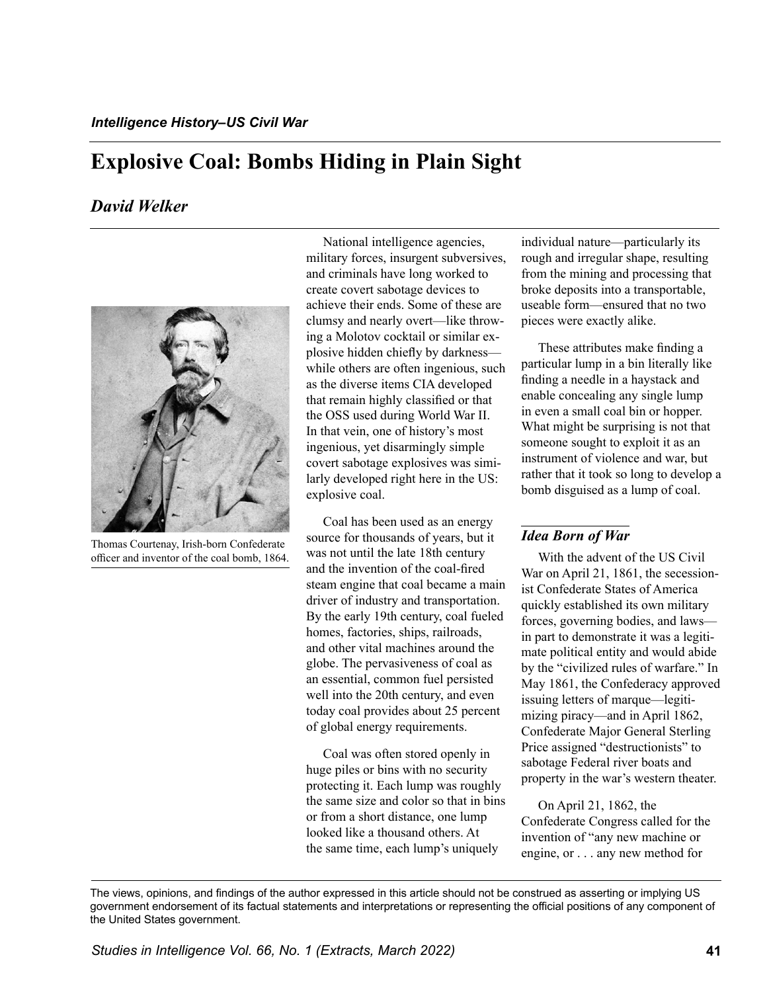# **Explosive Coal: Bombs Hiding in Plain Sight**

## *David Welker*



Thomas Courtenay, Irish-born Confederate officer and inventor of the coal bomb, 1864.

National intelligence agencies, military forces, insurgent subversives, and criminals have long worked to create covert sabotage devices to achieve their ends. Some of these are clumsy and nearly overt—like throwing a Molotov cocktail or similar explosive hidden chiefly by darkness while others are often ingenious, such as the diverse items CIA developed that remain highly classified or that the OSS used during World War II. In that vein, one of history's most ingenious, yet disarmingly simple covert sabotage explosives was similarly developed right here in the US: explosive coal.

Coal has been used as an energy source for thousands of years, but it was not until the late 18th century and the invention of the coal-fired steam engine that coal became a main driver of industry and transportation. By the early 19th century, coal fueled homes, factories, ships, railroads, and other vital machines around the globe. The pervasiveness of coal as an essential, common fuel persisted well into the 20th century, and even today coal provides about 25 percent of global energy requirements.

Coal was often stored openly in huge piles or bins with no security protecting it. Each lump was roughly the same size and color so that in bins or from a short distance, one lump looked like a thousand others. At the same time, each lump's uniquely

individual nature—particularly its rough and irregular shape, resulting from the mining and processing that broke deposits into a transportable, useable form—ensured that no two pieces were exactly alike.

These attributes make finding a particular lump in a bin literally like finding a needle in a haystack and enable concealing any single lump in even a small coal bin or hopper. What might be surprising is not that someone sought to exploit it as an instrument of violence and war, but rather that it took so long to develop a bomb disguised as a lump of coal.

### *Idea Born of War*

With the advent of the US Civil War on April 21, 1861, the secessionist Confederate States of America quickly established its own military forces, governing bodies, and laws in part to demonstrate it was a legitimate political entity and would abide by the "civilized rules of warfare." In May 1861, the Confederacy approved issuing letters of marque—legitimizing piracy—and in April 1862, Confederate Major General Sterling Price assigned "destructionists" to sabotage Federal river boats and property in the war's western theater.

On April 21, 1862, the Confederate Congress called for the invention of "any new machine or engine, or . . . any new method for

The views, opinions, and findings of the author expressed in this article should not be construed as asserting or implying US government endorsement of its factual statements and interpretations or representing the official positions of any component of the United States government.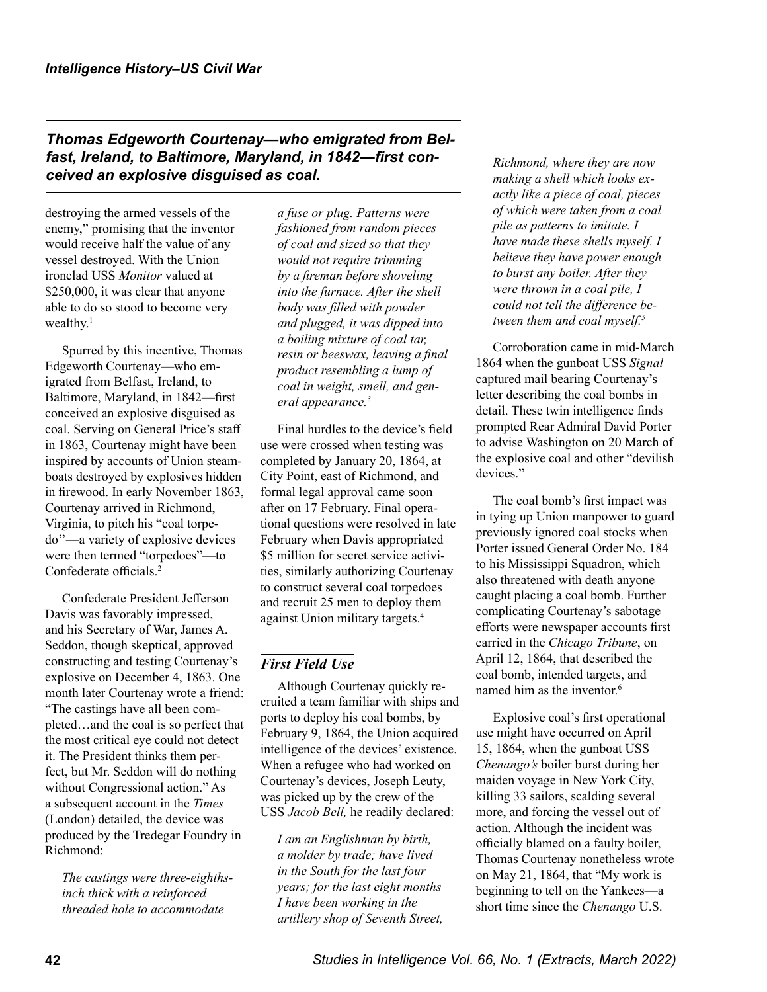<span id="page-1-0"></span>*Thomas Edgeworth Courtenay—who emigrated from Belfast, Ireland, to Baltimore, Maryland, in 1842—first conceived an explosive disguised as coal.* 

destroying the armed vessels of the enemy," promising that the inventor would receive half the value of any vessel destroyed. With the Union ironclad USS *Monitor* valued at \$250,000, it was clear that anyone able to do so stood to become very wealthy.<sup>1</sup>

Spurred by this incentive, Thomas Edgeworth Courtenay—who emigrated from Belfast, Ireland, to Baltimore, Maryland, in 1842—first conceived an explosive disguised as coal. Serving on General Price's staff in 1863, Courtenay might have been inspired by accounts of Union steamboats destroyed by explosives hidden in firewood. In early November 1863, Courtenay arrived in Richmond, Virginia, to pitch his "coal torpedo''—a variety of explosive devices were then termed "torpedoes"—to Confederate officials.[2](#page-6-0)

Confederate President Jefferson Davis was favorably impressed, and his Secretary of War, James A. Seddon, though skeptical, approved constructing and testing Courtenay's explosive on December 4, 1863. One month later Courtenay wrote a friend: "The castings have all been completed…and the coal is so perfect that the most critical eye could not detect it. The President thinks them perfect, but Mr. Seddon will do nothing without Congressional action." As a subsequent account in the *Times* (London) detailed, the device was produced by the Tredegar Foundry in Richmond:

*The castings were three-eighthsinch thick with a reinforced threaded hole to accommodate* 

*a fuse or plug. Patterns were fashioned from random pieces of coal and sized so that they would not require trimming by a fireman before shoveling into the furnace. After the shell body was filled with powder and plugged, it was dipped into a boiling mixture of coal tar, resin or beeswax, leaving a final product resembling a lump of coal in weight, smell, and general appearance[.3](#page-6-0)*

Final hurdles to the device's field use were crossed when testing was completed by January 20, 1864, at City Point, east of Richmond, and formal legal approval came soon after on 17 February. Final operational questions were resolved in late February when Davis appropriated \$5 million for secret service activities, similarly authorizing Courtenay to construct several coal torpedoes and recruit 25 men to deploy them against Union military targets.[4](#page-6-0)

### *First Field Use*

Although Courtenay quickly recruited a team familiar with ships and ports to deploy his coal bombs, by February 9, 1864, the Union acquired intelligence of the devices' existence. When a refugee who had worked on Courtenay's devices, Joseph Leuty, was picked up by the crew of the USS *Jacob Bell,* he readily declared:

*I am an Englishman by birth, a molder by trade; have lived in the South for the last four years; for the last eight months I have been working in the artillery shop of Seventh Street,* 

*Richmond, where they are now making a shell which looks exactly like a piece of coal, pieces of which were taken from a coal pile as patterns to imitate. I have made these shells myself. I believe they have power enough to burst any boiler. After they were thrown in a coal pile, I could not tell the difference between them and coal myself[.5](#page-6-0)*

Corroboration came in mid-March 1864 when the gunboat USS *Signal* captured mail bearing Courtenay's letter describing the coal bombs in detail. These twin intelligence finds prompted Rear Admiral David Porter to advise Washington on 20 March of the explosive coal and other "devilish devices."

The coal bomb's first impact was in tying up Union manpower to guard previously ignored coal stocks when Porter issued General Order No. 184 to his Mississippi Squadron, which also threatened with death anyone caught placing a coal bomb. Further complicating Courtenay's sabotage efforts were newspaper accounts first carried in the *Chicago Tribune*, on April 12, 1864, that described the coal bomb, intended targets, and named him as the inventor  $6$ 

Explosive coal's first operational use might have occurred on April 15, 1864, when the gunboat USS *Chenango's* boiler burst during her maiden voyage in New York City, killing 33 sailors, scalding several more, and forcing the vessel out of action. Although the incident was officially blamed on a faulty boiler, Thomas Courtenay nonetheless wrote on May 21, 1864, that "My work is beginning to tell on the Yankees—a short time since the *Chenango* U.S.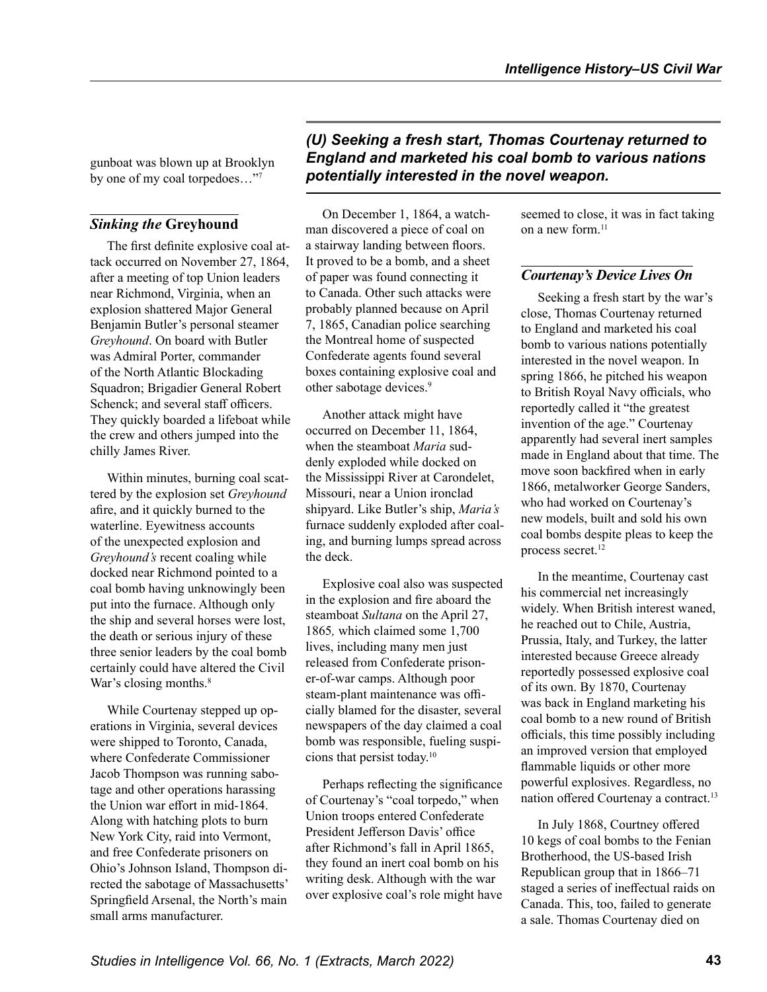<span id="page-2-0"></span>gunboat was blown up at Brooklyn by one of my coal torpedoes…["7](#page-6-0)

## *Sinking the* **Greyhound**

The first definite explosive coal attack occurred on November 27, 1864, after a meeting of top Union leaders near Richmond, Virginia, when an explosion shattered Major General Benjamin Butler's personal steamer *Greyhound*. On board with Butler was Admiral Porter, commander of the North Atlantic Blockading Squadron; Brigadier General Robert Schenck; and several staff officers. They quickly boarded a lifeboat while the crew and others jumped into the chilly James River.

Within minutes, burning coal scattered by the explosion set *Greyhound* afire, and it quickly burned to the waterline. Eyewitness accounts of the unexpected explosion and *Greyhound's* recent coaling while docked near Richmond pointed to a coal bomb having unknowingly been put into the furnace. Although only the ship and several horses were lost, the death or serious injury of these three senior leaders by the coal bomb certainly could have altered the Civil War's closing months.<sup>[8](#page-6-0)</sup>

While Courtenay stepped up operations in Virginia, several devices were shipped to Toronto, Canada, where Confederate Commissioner Jacob Thompson was running sabotage and other operations harassing the Union war effort in mid-1864. Along with hatching plots to burn New York City, raid into Vermont, and free Confederate prisoners on Ohio's Johnson Island, Thompson directed the sabotage of Massachusetts' Springfield Arsenal, the North's main small arms manufacturer.

*(U) Seeking a fresh start, Thomas Courtenay returned to England and marketed his coal bomb to various nations potentially interested in the novel weapon.*

On December 1, 1864, a watchman discovered a piece of coal on a stairway landing between floors. It proved to be a bomb, and a sheet of paper was found connecting it to Canada. Other such attacks were probably planned because on April 7, 1865, Canadian police searching the Montreal home of suspected Confederate agents found several boxes containing explosive coal and other sabotage devices.<sup>[9](#page-6-0)</sup>

Another attack might have occurred on December 11, 1864, when the steamboat *Maria* suddenly exploded while docked on the Mississippi River at Carondelet, Missouri, near a Union ironclad shipyard. Like Butler's ship, *Maria's* furnace suddenly exploded after coaling, and burning lumps spread across the deck.

Explosive coal also was suspected in the explosion and fire aboard the steamboat *Sultana* on the April 27, 1865*,* which claimed some 1,700 lives, including many men just released from Confederate prisoner-of-war camps. Although poor steam-plant maintenance was officially blamed for the disaster, several newspapers of the day claimed a coal bomb was responsible, fueling suspicions that persist today[.10](#page-6-0)

Perhaps reflecting the significance of Courtenay's "coal torpedo," when Union troops entered Confederate President Jefferson Davis' office after Richmond's fall in April 1865, they found an inert coal bomb on his writing desk. Although with the war over explosive coal's role might have seemed to close, it was in fact taking on a new form.<sup>[11](#page-6-0)</sup>

## *Courtenay's Device Lives On*

Seeking a fresh start by the war's close, Thomas Courtenay returned to England and marketed his coal bomb to various nations potentially interested in the novel weapon. In spring 1866, he pitched his weapon to British Royal Navy officials, who reportedly called it "the greatest invention of the age." Courtenay apparently had several inert samples made in England about that time. The move soon backfired when in early 1866, metalworker George Sanders, who had worked on Courtenay's new models, built and sold his own coal bombs despite pleas to keep the process secret.<sup>12</sup>

In the meantime, Courtenay cast his commercial net increasingly widely. When British interest waned, he reached out to Chile, Austria, Prussia, Italy, and Turkey, the latter interested because Greece already reportedly possessed explosive coal of its own. By 1870, Courtenay was back in England marketing his coal bomb to a new round of British officials, this time possibly including an improved version that employed flammable liquids or other more powerful explosives. Regardless, no nation offered Courtenay a contract.<sup>[13](#page-6-0)</sup>

In July 1868, Courtney offered 10 kegs of coal bombs to the Fenian Brotherhood, the US-based Irish Republican group that in 1866–71 staged a series of ineffectual raids on Canada. This, too, failed to generate a sale. Thomas Courtenay died on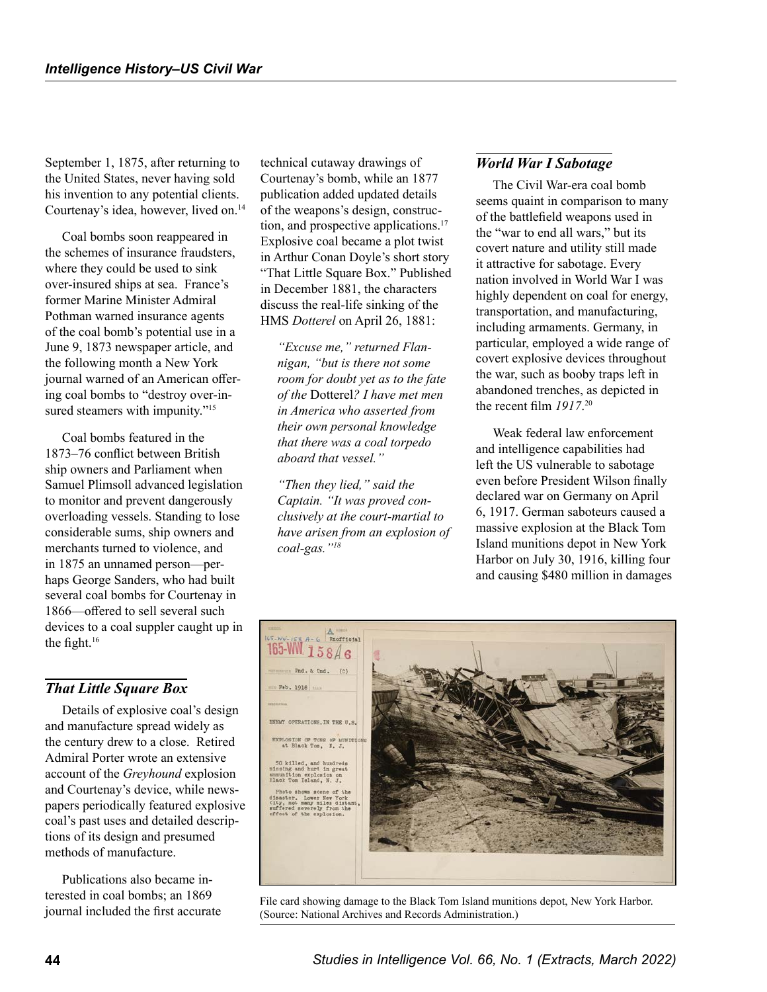<span id="page-3-0"></span>September 1, 1875, after returning to the United States, never having sold his invention to any potential clients. Courtenay's idea, however, lived on.[14](#page-6-0)

Coal bombs soon reappeared in the schemes of insurance fraudsters, where they could be used to sink over-insured ships at sea. France's former Marine Minister Admiral Pothman warned insurance agents of the coal bomb's potential use in a June 9, 1873 newspaper article, and the following month a New York journal warned of an American offering coal bombs to "destroy over-in-sured steamers with impunity."<sup>[15](#page-6-0)</sup>

Coal bombs featured in the 1873–76 conflict between British ship owners and Parliament when Samuel Plimsoll advanced legislation to monitor and prevent dangerously overloading vessels. Standing to lose considerable sums, ship owners and merchants turned to violence, and in 1875 an unnamed person—perhaps George Sanders, who had built several coal bombs for Courtenay in 1866—offered to sell several such devices to a coal suppler caught up in the fight.[16](#page-6-0)

### *That Little Square Box*

Details of explosive coal's design and manufacture spread widely as the century drew to a close. Retired Admiral Porter wrote an extensive account of the *Greyhound* explosion and Courtenay's device, while newspapers periodically featured explosive coal's past uses and detailed descriptions of its design and presumed methods of manufacture.

Publications also became interested in coal bombs; an 1869 journal included the first accurate technical cutaway drawings of Courtenay's bomb, while an 1877 publication added updated details of the weapons's design, construc-tion, and prospective applications.<sup>[17](#page-6-0)</sup> Explosive coal became a plot twist in Arthur Conan Doyle's short story "That Little Square Box." Published in December 1881, the characters discuss the real-life sinking of the HMS *Dotterel* on April 26, 1881:

*"Excuse me," returned Flannigan, "but is there not some room for doubt yet as to the fate of the* Dotterel*? I have met men in America who asserted from their own personal knowledge that there was a coal torpedo aboard that vessel."*

*"Then they lied," said the Captain. "It was proved conclusively at the court-martial to have arisen from an explosion of coal-gas.["18](#page-6-0)*

#### *World War I Sabotage*

The Civil War-era coal bomb seems quaint in comparison to many of the battlefield weapons used in the "war to end all wars," but its covert nature and utility still made it attractive for sabotage. Every nation involved in World War I was highly dependent on coal for energy, transportation, and manufacturing, including armaments. Germany, in particular, employed a wide range of covert explosive devices throughout the war, such as booby traps left in abandoned trenches, as depicted in the recent film *1917*. [20](#page-6-0)

Weak federal law enforcement and intelligence capabilities had left the US vulnerable to sabotage even before President Wilson finally declared war on Germany on April 6, 1917. German saboteurs caused a massive explosion at the Black Tom Island munitions depot in New York Harbor on July 30, 1916, killing four and causing \$480 million in damages



File card showing damage to the Black Tom Island munitions depot, New York Harbor. (Source: National Archives and Records Administration.)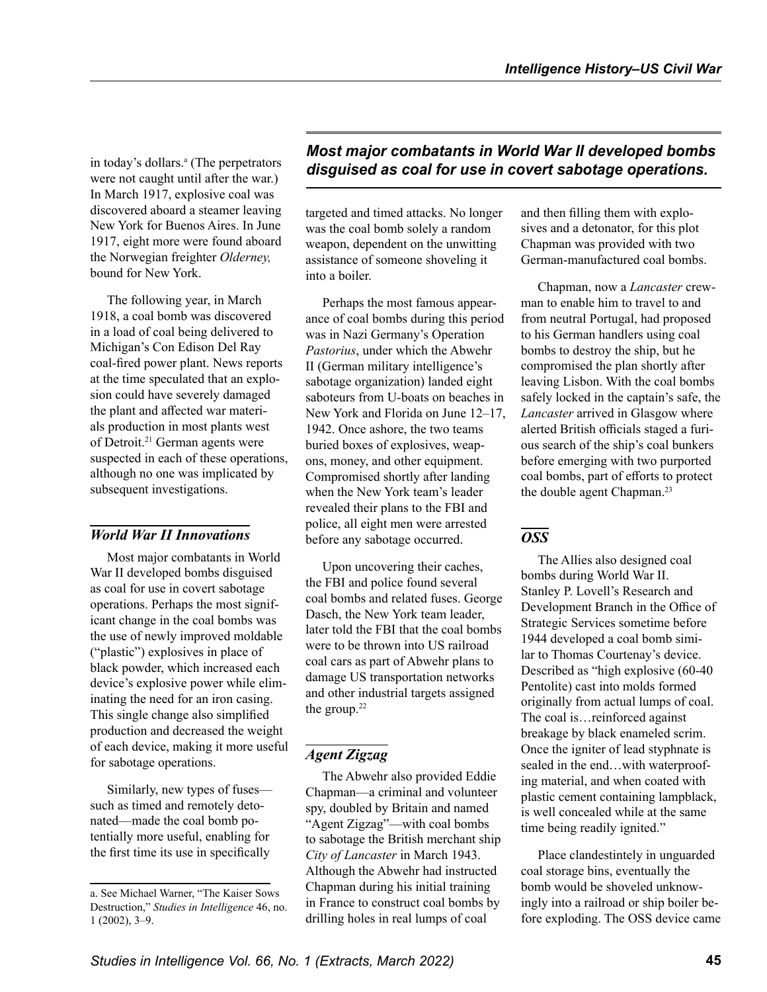<span id="page-4-0"></span>in today's dollars.<sup>a</sup> (The perpetrators were not caught until after the war.) In March 1917, explosive coal was discovered aboard a steamer leaving New York for Buenos Aires. In June 1917, eight more were found aboard the Norwegian freighter *Olderney,* bound for New York.

The following year, in March 1918, a coal bomb was discovered in a load of coal being delivered to Michigan's Con Edison Del Ray coal-fired power plant. News reports at the time speculated that an explosion could have severely damaged the plant and affected war materials production in most plants west of Detroit.<sup>21</sup> German agents were suspected in each of these operations, although no one was implicated by subsequent investigations.

### *World War II Innovations*

Most major combatants in World War II developed bombs disguised as coal for use in covert sabotage operations. Perhaps the most significant change in the coal bombs was the use of newly improved moldable ("plastic") explosives in place of black powder, which increased each device's explosive power while eliminating the need for an iron casing. This single change also simplified production and decreased the weight of each device, making it more useful for sabotage operations.

Similarly, new types of fuses such as timed and remotely detonated—made the coal bomb potentially more useful, enabling for the first time its use in specifically

## *Most major combatants in World War II developed bombs disguised as coal for use in covert sabotage operations.*

targeted and timed attacks. No longer was the coal bomb solely a random weapon, dependent on the unwitting assistance of someone shoveling it into a boiler.

Perhaps the most famous appearance of coal bombs during this period was in Nazi Germany's Operation *Pastorius*, under which the Abwehr II (German military intelligence's sabotage organization) landed eight saboteurs from U-boats on beaches in New York and Florida on June 12–17, 1942. Once ashore, the two teams buried boxes of explosives, weapons, money, and other equipment. Compromised shortly after landing when the New York team's leader revealed their plans to the FBI and police, all eight men were arrested before any sabotage occurred.

Upon uncovering their caches, the FBI and police found several coal bombs and related fuses. George Dasch, the New York team leader, later told the FBI that the coal bombs were to be thrown into US railroad coal cars as part of Abwehr plans to damage US transportation networks and other industrial targets assigned the group. $22$ 

# *Agent Zigzag*

The Abwehr also provided Eddie Chapman—a criminal and volunteer spy, doubled by Britain and named "Agent Zigzag"—with coal bombs to sabotage the British merchant ship *City of Lancaster* in March 1943. Although the Abwehr had instructed Chapman during his initial training in France to construct coal bombs by drilling holes in real lumps of coal

and then filling them with explosives and a detonator, for this plot Chapman was provided with two German-manufactured coal bombs.

Chapman, now a *Lancaster* crewman to enable him to travel to and from neutral Portugal, had proposed to his German handlers using coal bombs to destroy the ship, but he compromised the plan shortly after leaving Lisbon. With the coal bombs safely locked in the captain's safe, the *Lancaster* arrived in Glasgow where alerted British officials staged a furious search of the ship's coal bunkers before emerging with two purported coal bombs, part of efforts to protect the double agent Chapman.<sup>[23](#page-6-0)</sup>

#### *OSS*

The Allies also designed coal bombs during World War II. Stanley P. Lovell's Research and Development Branch in the Office of Strategic Services sometime before 1944 developed a coal bomb similar to Thomas Courtenay's device. Described as "high explosive (60-40 Pentolite) cast into molds formed originally from actual lumps of coal. The coal is…reinforced against breakage by black enameled scrim. Once the igniter of lead styphnate is sealed in the end…with waterproofing material, and when coated with plastic cement containing lampblack, is well concealed while at the same time being readily ignited."

Place clandestintely in unguarded coal storage bins, eventually the bomb would be shoveled unknowingly into a railroad or ship boiler before exploding. The OSS device came

a. See Michael Warner, "The Kaiser Sows Destruction," *Studies in Intelligence* 46, no. 1 (2002), 3–9.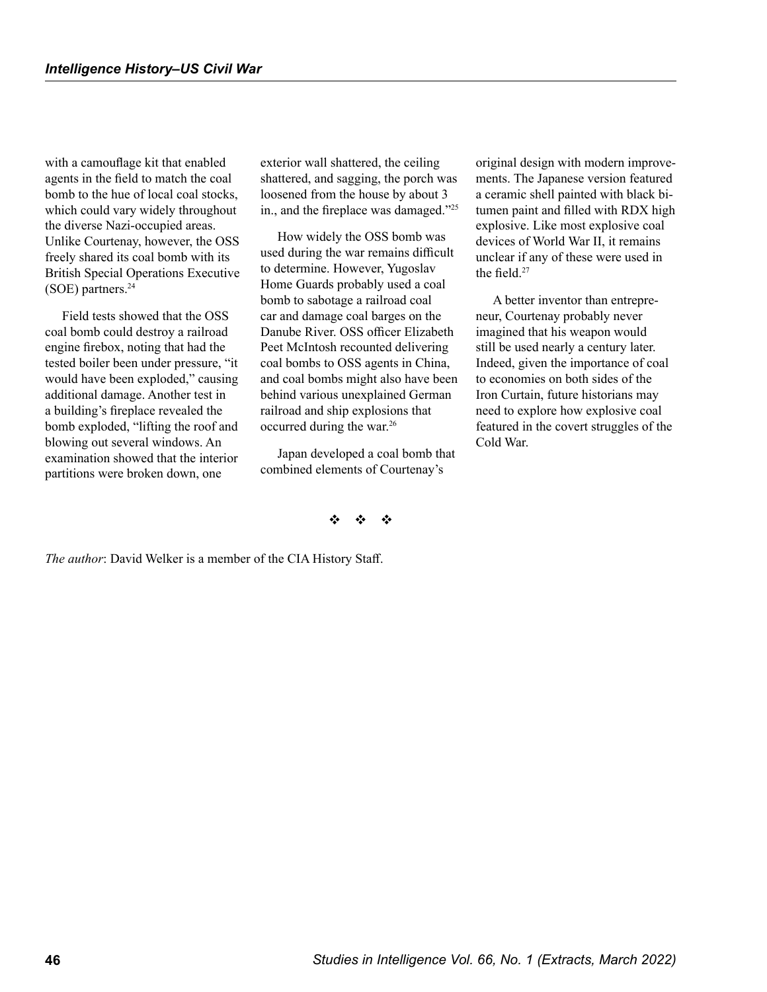<span id="page-5-0"></span>with a camouflage kit that enabled agents in the field to match the coal bomb to the hue of local coal stocks, which could vary widely throughout the diverse Nazi-occupied areas. Unlike Courtenay, however, the OSS freely shared its coal bomb with its British Special Operations Executive (SOE) partners.[24](#page-6-0)

Field tests showed that the OSS coal bomb could destroy a railroad engine firebox, noting that had the tested boiler been under pressure, "it would have been exploded," causing additional damage. Another test in a building's fireplace revealed the bomb exploded, "lifting the roof and blowing out several windows. An examination showed that the interior partitions were broken down, one

exterior wall shattered, the ceiling shattered, and sagging, the porch was loosened from the house by about 3 in., and the fireplace was damaged."[25](#page-6-0)

How widely the OSS bomb was used during the war remains difficult to determine. However, Yugoslav Home Guards probably used a coal bomb to sabotage a railroad coal car and damage coal barges on the Danube River. OSS officer Elizabeth Peet McIntosh recounted delivering coal bombs to OSS agents in China, and coal bombs might also have been behind various unexplained German railroad and ship explosions that occurred during the war.[26](#page-6-0) 

Japan developed a coal bomb that combined elements of Courtenay's

original design with modern improvements. The Japanese version featured a ceramic shell painted with black bitumen paint and filled with RDX high explosive. Like most explosive coal devices of World War II, it remains unclear if any of these were used in the field  $27$ 

A better inventor than entrepreneur, Courtenay probably never imagined that his weapon would still be used nearly a century later. Indeed, given the importance of coal to economies on both sides of the Iron Curtain, future historians may need to explore how explosive coal featured in the covert struggles of the Cold War.

#### $\ddot{\bm v}$

*The author*: David Welker is a member of the CIA History Staff.